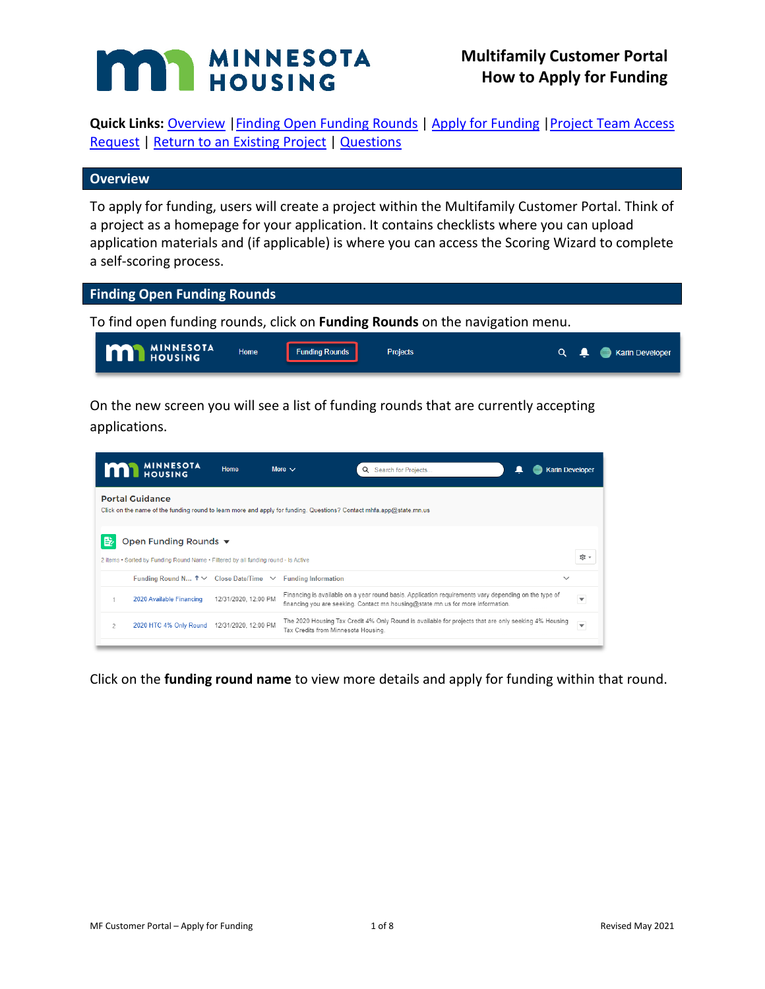# MINNESOTA HOUSING

**Quick Links: Overview | Finding Open Funding Rounds | Apply for Funding | Project Team Access** [Request](#page-4-0) | [Return to an Existing Project](#page-6-0) | [Questions](#page-7-0)

## **Overview**

To apply for funding, users will create a project within the Multifamily Customer Portal. Think of a project as a homepage for your application. It contains checklists where you can upload application materials and (if applicable) is where you can access the Scoring Wizard to complete a self-scoring process.

## **Finding Open Funding Rounds**

To find open funding rounds, click on **Funding Rounds** on the navigation menu.



On the new screen you will see a list of funding rounds that are currently accepting applications.

| <b>M</b> MINNESOTA                                                                                                                            | Home |  | Search for Projects<br>$\Omega$                                                                                                           | <b>Karin Developer</b>                                                                                                 |                                                                                                                                                                                                              |  |  |  |  |
|-----------------------------------------------------------------------------------------------------------------------------------------------|------|--|-------------------------------------------------------------------------------------------------------------------------------------------|------------------------------------------------------------------------------------------------------------------------|--------------------------------------------------------------------------------------------------------------------------------------------------------------------------------------------------------------|--|--|--|--|
| <b>Portal Guidance</b><br>Click on the name of the funding round to learn more and apply for funding. Questions? Contact mhfa.app@state.mn.us |      |  |                                                                                                                                           |                                                                                                                        |                                                                                                                                                                                                              |  |  |  |  |
| Open Funding Rounds ▼<br>愈 -<br>2 items . Sorted by Funding Round Name . Filtered by all funding round - Is Active                            |      |  |                                                                                                                                           |                                                                                                                        |                                                                                                                                                                                                              |  |  |  |  |
|                                                                                                                                               |      |  |                                                                                                                                           | $\checkmark$                                                                                                           |                                                                                                                                                                                                              |  |  |  |  |
| 2020 Available Financing                                                                                                                      |      |  |                                                                                                                                           |                                                                                                                        | $\overline{\mathbf{v}}$                                                                                                                                                                                      |  |  |  |  |
| 2020 HTC 4% Only Round                                                                                                                        |      |  |                                                                                                                                           |                                                                                                                        | $\blacktriangledown$                                                                                                                                                                                         |  |  |  |  |
|                                                                                                                                               |      |  | More $\vee$<br>Funding Round N $\uparrow \vee$ Close Date/Time $\vee$ Funding Information<br>12/31/2020, 12:00 PM<br>12/31/2020, 12:00 PM | financing you are seeking. Contact mn.housing@state.mn.us for more information.<br>Tax Credits from Minnesota Housing. | Financing is available on a year round basis. Application requirements vary depending on the type of<br>The 2020 Housing Tax Credit 4% Only Round is available for projects that are only seeking 4% Housing |  |  |  |  |

Click on the **funding round name** to view more details and apply for funding within that round.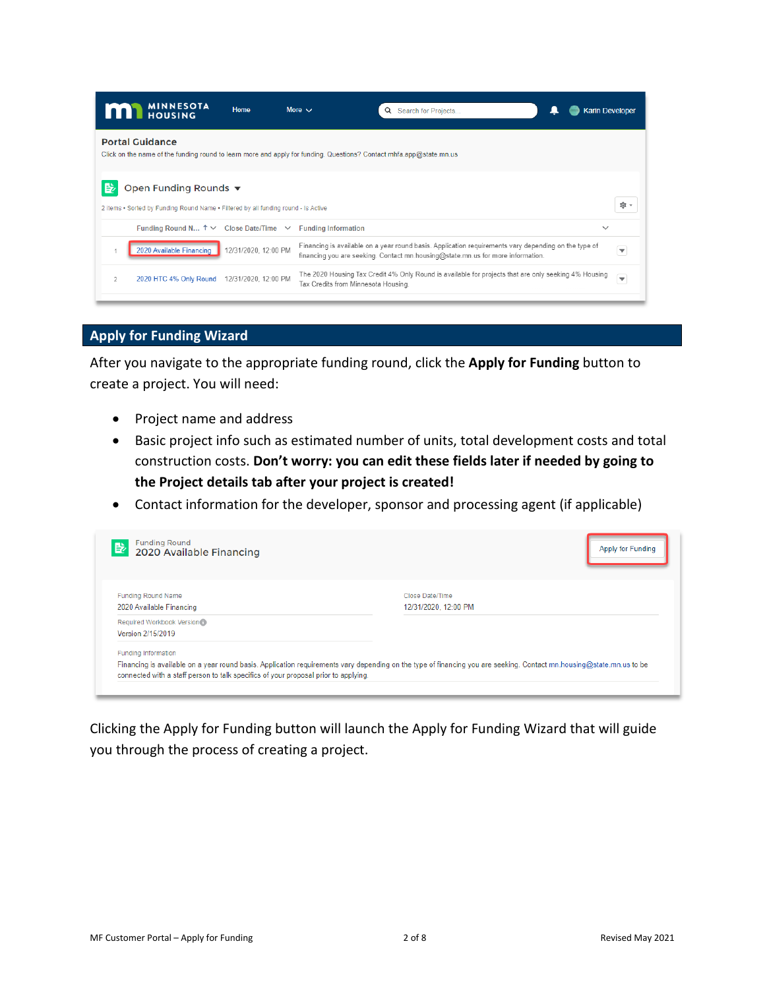| Q Search for Projects<br><b>Karin Developer</b>                                                                                                                                              |
|----------------------------------------------------------------------------------------------------------------------------------------------------------------------------------------------|
| Click on the name of the funding round to learn more and apply for funding. Questions? Contact mhfa.app@state.mn.us                                                                          |
| ত: -                                                                                                                                                                                         |
| $\checkmark$                                                                                                                                                                                 |
| Financing is available on a year round basis. Application requirements vary depending on the type of<br>▼<br>financing you are seeking. Contact mn.housing@state.mn.us for more information. |
| The 2020 Housing Tax Credit 4% Only Round is available for projects that are only seeking 4% Housing<br>$\overline{\mathbf{v}}$<br>Tax Credits from Minnesota Housing.                       |
|                                                                                                                                                                                              |

## **Apply for Funding Wizard**

After you navigate to the appropriate funding round, click the **Apply for Funding** button to create a project. You will need:

- Project name and address
- Basic project info such as estimated number of units, total development costs and total construction costs. **Don't worry: you can edit these fields later if needed by going to the Project details tab after your project is created!**
- Contact information for the developer, sponsor and processing agent (if applicable)

| <b>Funding Round</b><br>B<br>2020 Available Financing                               | Apply for Funding                                                                                                                                                    |
|-------------------------------------------------------------------------------------|----------------------------------------------------------------------------------------------------------------------------------------------------------------------|
| <b>Funding Round Name</b><br>2020 Available Financing                               | Close Date/Time<br>12/31/2020, 12:00 PM                                                                                                                              |
| Required Workbook Version<br>Version 2/15/2019                                      |                                                                                                                                                                      |
| Funding Information                                                                 |                                                                                                                                                                      |
| connected with a staff person to talk specifics of your proposal prior to applying. | Financing is available on a year round basis. Application requirements vary depending on the type of financing you are seeking. Contact mn.housing@state.mn.us to be |

Clicking the Apply for Funding button will launch the Apply for Funding Wizard that will guide you through the process of creating a project.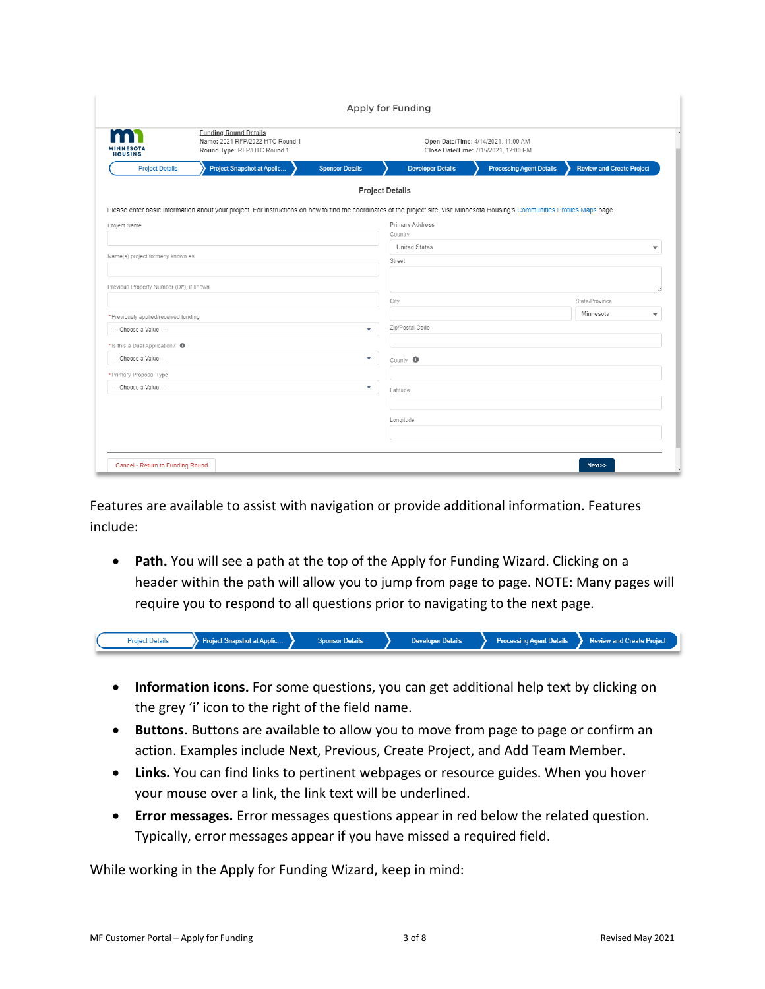|                                            |                                                                                                                                                                                   |                         | Apply for Funding                                                           |                                 |                                       |  |  |  |
|--------------------------------------------|-----------------------------------------------------------------------------------------------------------------------------------------------------------------------------------|-------------------------|-----------------------------------------------------------------------------|---------------------------------|---------------------------------------|--|--|--|
| <b>NESOTA</b><br><b>HOUSING</b>            | <b>Funding Round Details</b><br>Name: 2021 RFP/2022 HTC Round 1<br>Round Type: RFP/HTC Round 1                                                                                    |                         | Open Date/Time: 4/14/2021, 11:00 AM<br>Close Date/Time: 7/15/2021, 12:00 PM |                                 |                                       |  |  |  |
| <b>Project Details</b>                     | Project Snapshot at Applic                                                                                                                                                        | <b>Sponsor Details</b>  | <b>Developer Details</b>                                                    | <b>Processing Agent Details</b> | <b>Review and Create Project</b>      |  |  |  |
|                                            |                                                                                                                                                                                   | <b>Project Details</b>  |                                                                             |                                 |                                       |  |  |  |
|                                            | Please enter basic information about your project. For instructions on how to find the coordinates of the project site, visit Minnesota Housing's Communities Profiles Maps page. |                         |                                                                             |                                 |                                       |  |  |  |
| Project Name                               |                                                                                                                                                                                   |                         | <b>Primary Address</b><br>Country                                           |                                 |                                       |  |  |  |
|                                            |                                                                                                                                                                                   |                         | <b>United States</b>                                                        |                                 | $\overline{\phantom{a}}$              |  |  |  |
| Name(s) project formerly known as          |                                                                                                                                                                                   |                         | Street                                                                      |                                 |                                       |  |  |  |
|                                            |                                                                                                                                                                                   |                         |                                                                             |                                 |                                       |  |  |  |
| Previous Property Number (D#), if known    |                                                                                                                                                                                   |                         |                                                                             |                                 |                                       |  |  |  |
|                                            |                                                                                                                                                                                   |                         | City                                                                        |                                 | State/Province                        |  |  |  |
| * Previously applied/received funding      |                                                                                                                                                                                   |                         |                                                                             |                                 | Minnesota<br>$\overline{\phantom{a}}$ |  |  |  |
| -- Choose a Value --                       |                                                                                                                                                                                   | $\overline{\mathbf{v}}$ | Zip/Postal Code                                                             |                                 |                                       |  |  |  |
| * Is this a Dual Application? <sup>O</sup> |                                                                                                                                                                                   |                         |                                                                             |                                 |                                       |  |  |  |
| -- Choose a Value --                       |                                                                                                                                                                                   | $\overline{\mathbf{v}}$ | County <sup>O</sup>                                                         |                                 |                                       |  |  |  |
| * Primary Proposal Type                    |                                                                                                                                                                                   |                         |                                                                             |                                 |                                       |  |  |  |
| -- Choose a Value --                       |                                                                                                                                                                                   | ۰                       | Latitude                                                                    |                                 |                                       |  |  |  |
|                                            |                                                                                                                                                                                   |                         |                                                                             |                                 |                                       |  |  |  |
|                                            |                                                                                                                                                                                   |                         | Longitude                                                                   |                                 |                                       |  |  |  |
|                                            |                                                                                                                                                                                   |                         |                                                                             |                                 |                                       |  |  |  |
|                                            |                                                                                                                                                                                   |                         |                                                                             |                                 |                                       |  |  |  |
|                                            |                                                                                                                                                                                   |                         |                                                                             |                                 |                                       |  |  |  |

Features are available to assist with navigation or provide additional information. Features include:

• **Path.** You will see a path at the top of the Apply for Funding Wizard. Clicking on a header within the path will allow you to jump from page to page. NOTE: Many pages will require you to respond to all questions prior to navigating to the next page.

| <b>Project Details</b> | .<br>$-$ |  | <b>Project</b><br><b><i><u>ANTIBOLISTIC</u></i></b> |
|------------------------|----------|--|-----------------------------------------------------|
|                        |          |  |                                                     |

- **Information icons.** For some questions, you can get additional help text by clicking on the grey 'i' icon to the right of the field name.
- **Buttons.** Buttons are available to allow you to move from page to page or confirm an action. Examples include Next, Previous, Create Project, and Add Team Member.
- **Links.** You can find links to pertinent webpages or resource guides. When you hover your mouse over a link, the link text will be underlined.
- **Error messages.** Error messages questions appear in red below the related question. Typically, error messages appear if you have missed a required field.

While working in the Apply for Funding Wizard, keep in mind: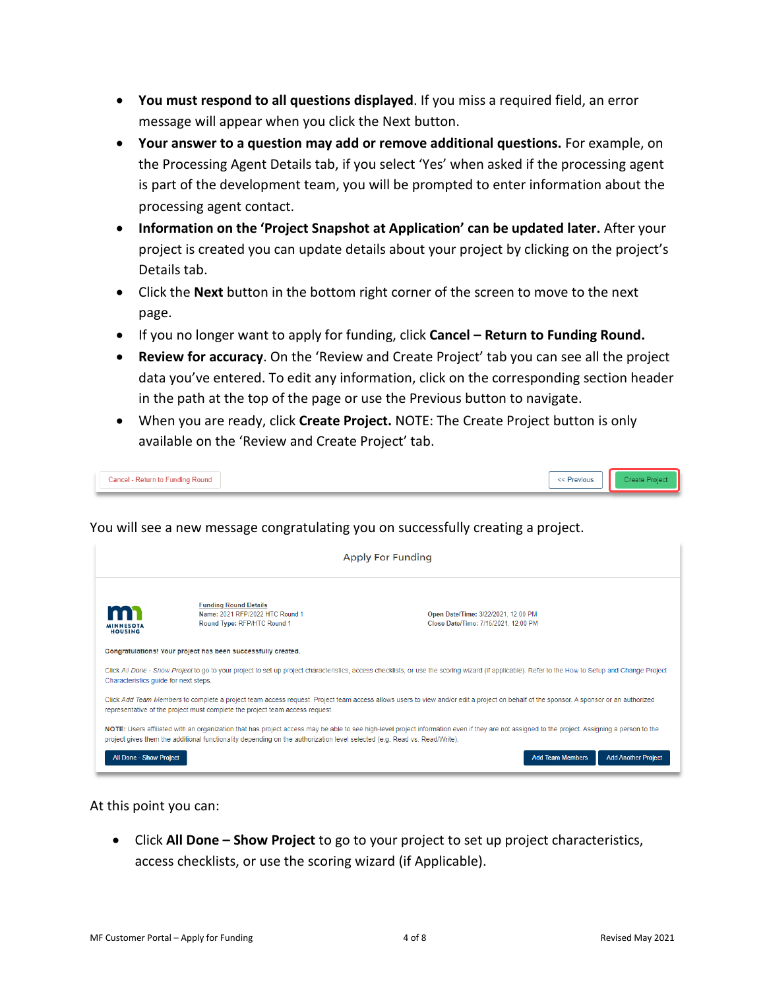- **You must respond to all questions displayed**. If you miss a required field, an error message will appear when you click the Next button.
- **Your answer to a question may add or remove additional questions.** For example, on the Processing Agent Details tab, if you select 'Yes' when asked if the processing agent is part of the development team, you will be prompted to enter information about the processing agent contact.
- **Information on the 'Project Snapshot at Application' can be updated later.** After your project is created you can update details about your project by clicking on the project's Details tab.
- Click the **Next** button in the bottom right corner of the screen to move to the next page.
- If you no longer want to apply for funding, click **Cancel – Return to Funding Round.**
- **Review for accuracy**. On the 'Review and Create Project' tab you can see all the project data you've entered. To edit any information, click on the corresponding section header in the path at the top of the page or use the Previous button to navigate.
- When you are ready, click **Create Project.** NOTE: The Create Project button is only available on the 'Review and Create Project' tab.

| Cancel - Return to Funding Round | $\overline{\phantom{a}}$<br>Previous |  |
|----------------------------------|--------------------------------------|--|
|----------------------------------|--------------------------------------|--|

You will see a new message congratulating you on successfully creating a project.

|                                                                                                                                                                                                                     | <b>Apply For Funding</b>                                                                                                                                                                                                                                              |                                                                                                                                                                                                   |  |  |  |  |  |  |
|---------------------------------------------------------------------------------------------------------------------------------------------------------------------------------------------------------------------|-----------------------------------------------------------------------------------------------------------------------------------------------------------------------------------------------------------------------------------------------------------------------|---------------------------------------------------------------------------------------------------------------------------------------------------------------------------------------------------|--|--|--|--|--|--|
| <b>Funding Round Details</b><br>Name: 2021 RFP/2022 HTC Round 1<br>Open Date/Time: 3/22/2021, 12:00 PM<br>Round Type: RFP/HTC Round 1<br>Close Date/Time: 7/15/2021, 12:00 PM<br><b>MINNESOTA</b><br><b>HOUSING</b> |                                                                                                                                                                                                                                                                       |                                                                                                                                                                                                   |  |  |  |  |  |  |
|                                                                                                                                                                                                                     | Congratulations! Your project has been successfully created.                                                                                                                                                                                                          |                                                                                                                                                                                                   |  |  |  |  |  |  |
| Characteristics guide for next steps.                                                                                                                                                                               |                                                                                                                                                                                                                                                                       | Click All Done - Show Project to go to your project to set up project characteristics, access checklists, or use the scoring wizard (if applicable). Refer to the How to Setup and Change Project |  |  |  |  |  |  |
|                                                                                                                                                                                                                     | Click Add Team Members to complete a project team access request. Project team access allows users to view and/or edit a project on behalf of the sponsor. A sponsor or an authorized<br>representative of the project must complete the project team access request. |                                                                                                                                                                                                   |  |  |  |  |  |  |
|                                                                                                                                                                                                                     | project gives them the additional functionality depending on the authorization level selected (e.g. Read vs. Read/Write).                                                                                                                                             | NOTE: Users affiliated with an organization that has project access may be able to see high-level project information even if they are not assigned to the project. Assigning a person to the     |  |  |  |  |  |  |
| <b>All Done - Show Project</b>                                                                                                                                                                                      |                                                                                                                                                                                                                                                                       | <b>Add Team Members</b><br><b>Add Another Project</b>                                                                                                                                             |  |  |  |  |  |  |

At this point you can:

• Click **All Done – Show Project** to go to your project to set up project characteristics, access checklists, or use the scoring wizard (if Applicable).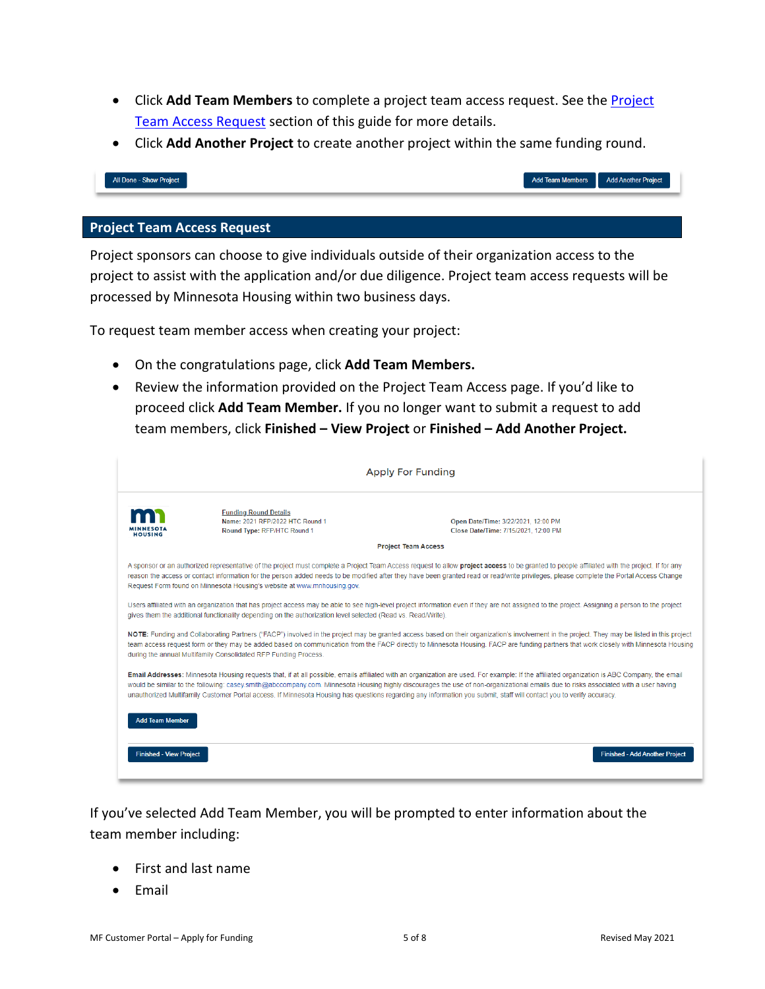- Click Add Team Members to complete a project team access request. See the **Project** [Team Access Request](#page-4-0) section of this guide for more details.
- Click **Add Another Project** to create another project within the same funding round.

| :ct | Add leam Mer |
|-----|--------------|
|     |              |
|     |              |

#### <span id="page-4-0"></span>**Project Team Access Request**

All Done - Show Proj

Project sponsors can choose to give individuals outside of their organization access to the project to assist with the application and/or due diligence. Project team access requests will be processed by Minnesota Housing within two business days.

To request team member access when creating your project:

- On the congratulations page, click **Add Team Members.**
- Review the information provided on the Project Team Access page. If you'd like to proceed click **Add Team Member.** If you no longer want to submit a request to add team members, click **Finished – View Project** or **Finished – Add Another Project.**

|                                | <b>Apply For Funding</b>                                                                                     |                                                                                                                                                                                                                                                                                                                                                                                                                                                                                                                                                             |  |  |  |  |  |  |
|--------------------------------|--------------------------------------------------------------------------------------------------------------|-------------------------------------------------------------------------------------------------------------------------------------------------------------------------------------------------------------------------------------------------------------------------------------------------------------------------------------------------------------------------------------------------------------------------------------------------------------------------------------------------------------------------------------------------------------|--|--|--|--|--|--|
| HOUSING                        | <b>Funding Round Details</b><br>Name: 2021 RFP/2022 HTC Round 1<br>Round Type: RFP/HTC Round 1               | Open Date/Time: 3/22/2021, 12:00 PM<br>Close Date/Time: 7/15/2021, 12:00 PM                                                                                                                                                                                                                                                                                                                                                                                                                                                                                 |  |  |  |  |  |  |
|                                |                                                                                                              | <b>Project Team Access</b>                                                                                                                                                                                                                                                                                                                                                                                                                                                                                                                                  |  |  |  |  |  |  |
|                                | Request Form found on Minnesota Housing's website at www.mnhousing.gov.                                      | A sponsor or an authorized representative of the project must complete a Project Team Access request to allow project access to be granted to people affiliated with the project. If for any<br>reason the access or contact information for the person added needs to be modified after they have been granted read or read/write privileges, please complete the Portal Access Change                                                                                                                                                                     |  |  |  |  |  |  |
|                                | gives them the additional functionality depending on the authorization level selected (Read vs. Read/Write). | Users affiliated with an organization that has project access may be able to see high-level project information even if they are not assigned to the project. Assigning a person to the project                                                                                                                                                                                                                                                                                                                                                             |  |  |  |  |  |  |
|                                | during the annual Multifamily Consolidated RFP Funding Process.                                              | NOTE: Funding and Collaborating Partners ("FACP") involved in the project may be granted access based on their organization's involvement in the project. They may be listed in this project<br>team access request form or they may be added based on communication from the FACP directly to Minnesota Housing. FACP are funding partners that work closely with Minnesota Housing                                                                                                                                                                        |  |  |  |  |  |  |
|                                |                                                                                                              | Email Addresses: Minnesota Housing requests that, if at all possible, emails affiliated with an organization are used. For example: If the affiliated organization is ABC Company, the email<br>would be similar to the following: casey.smith@abccompany.com. Minnesota Housing highly discourages the use of non-organizational emails due to risks associated with a user having<br>unauthorized Multifamily Customer Portal access. If Minnesota Housing has questions regarding any information you submit, staff will contact you to verify accuracy. |  |  |  |  |  |  |
| <b>Add Team Member</b>         |                                                                                                              |                                                                                                                                                                                                                                                                                                                                                                                                                                                                                                                                                             |  |  |  |  |  |  |
| <b>Finished - View Project</b> |                                                                                                              | <b>Finished - Add Another Project</b>                                                                                                                                                                                                                                                                                                                                                                                                                                                                                                                       |  |  |  |  |  |  |

If you've selected Add Team Member, you will be prompted to enter information about the team member including:

- First and last name
- Email

Add Another Project

bers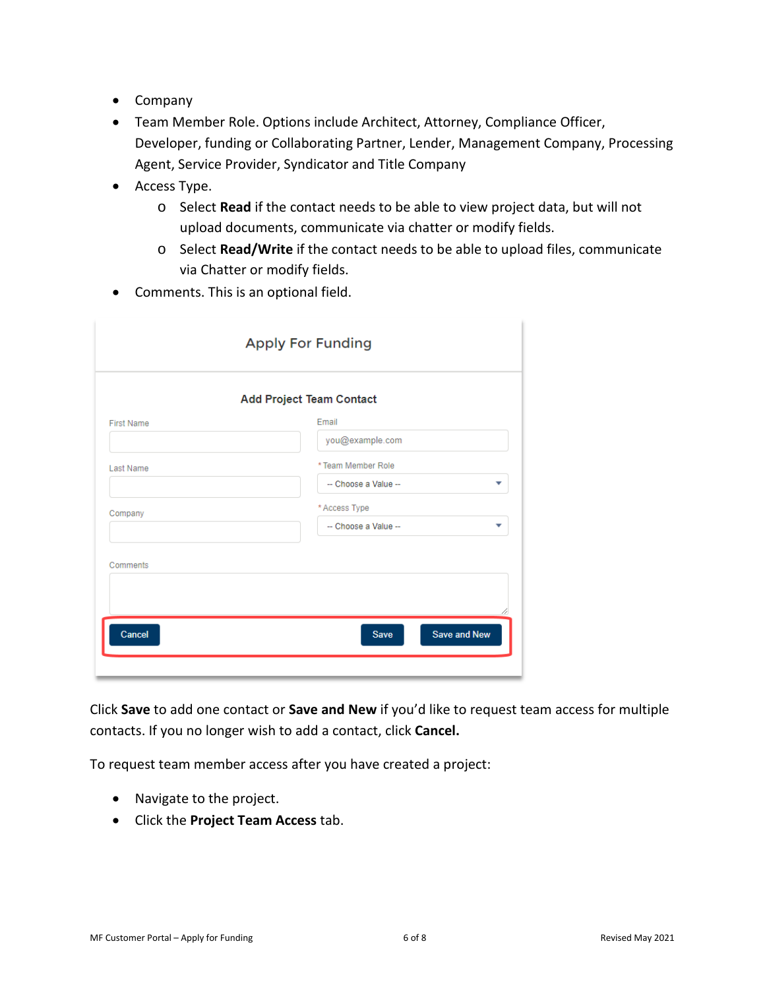- Company
- Team Member Role. Options include Architect, Attorney, Compliance Officer, Developer, funding or Collaborating Partner, Lender, Management Company, Processing Agent, Service Provider, Syndicator and Title Company
- Access Type.
	- o Select **Read** if the contact needs to be able to view project data, but will not upload documents, communicate via chatter or modify fields.
	- o Select **Read/Write** if the contact needs to be able to upload files, communicate via Chatter or modify fields.
- Comments. This is an optional field.

|                   | <b>Add Project Team Contact</b>      |
|-------------------|--------------------------------------|
| <b>First Name</b> | Email                                |
|                   | you@example.com                      |
| Last Name         | * Team Member Role                   |
|                   | -- Choose a Value --<br>$\checkmark$ |
| Company           | * Access Type                        |
|                   | -- Choose a Value --<br>▼            |
|                   |                                      |
| Comments          |                                      |
|                   |                                      |
|                   |                                      |

Click **Save** to add one contact or **Save and New** if you'd like to request team access for multiple contacts. If you no longer wish to add a contact, click **Cancel.** 

To request team member access after you have created a project:

- Navigate to the project.
- Click the **Project Team Access** tab.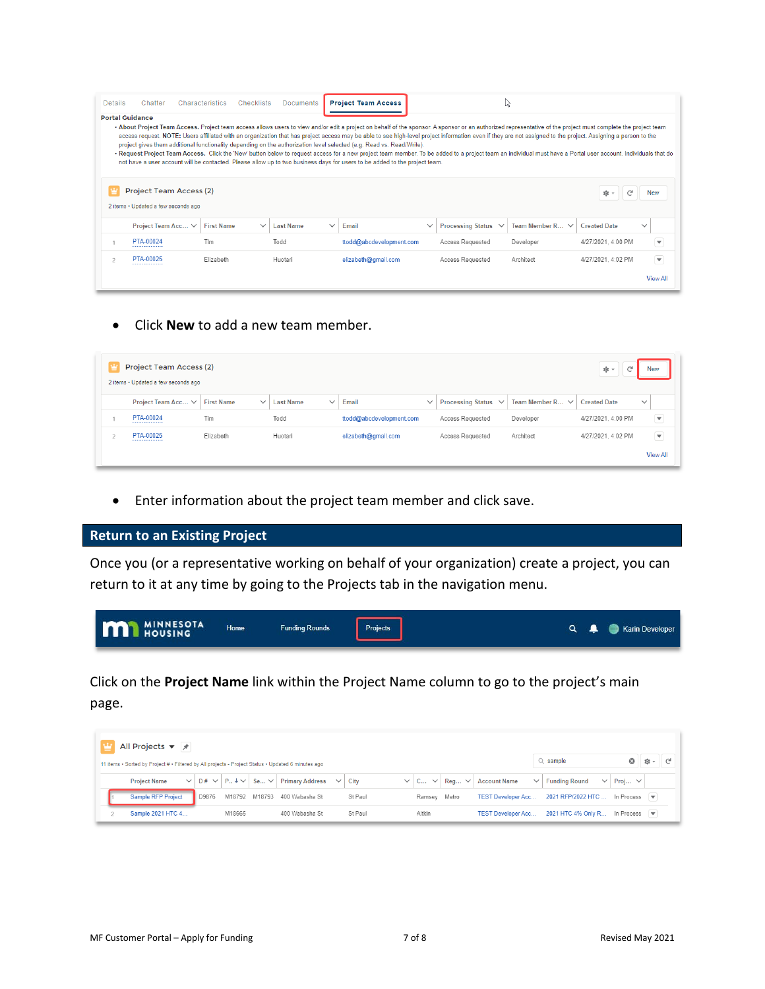| <b>Details</b> | Chatter                                                                                                                                                                                                                                                                                                                                                                                                                                                                                                                                                                                                                                                                                                                                                                                                                                                                                                                          | Characteristics<br>Checklists | <b>Documents</b>          |              | <b>Project Team Access</b> |              |                     | ↳                             |                        |                          |  |
|----------------|----------------------------------------------------------------------------------------------------------------------------------------------------------------------------------------------------------------------------------------------------------------------------------------------------------------------------------------------------------------------------------------------------------------------------------------------------------------------------------------------------------------------------------------------------------------------------------------------------------------------------------------------------------------------------------------------------------------------------------------------------------------------------------------------------------------------------------------------------------------------------------------------------------------------------------|-------------------------------|---------------------------|--------------|----------------------------|--------------|---------------------|-------------------------------|------------------------|--------------------------|--|
|                | <b>Portal Guidance</b><br>. About Project Team Access. Project team access allows users to view and/or edit a project on behalf of the sponsor. A sponsor or an authorized representative of the project must complete the project team<br>access request. NOTE: Users affiliated with an organization that has project access may be able to see high-level project information even if they are not assigned to the project. Assigning a person to the<br>project gives them additional functionality depending on the authorization level selected (e.g. Read vs. Read/Write).<br>. Request Project Team Access. Click the 'New' button below to request access for a new project team member. To be added to a project team an individual must have a Portal user account. Individuals that do<br>not have a user account will be contacted. Please allow up to two business days for users to be added to the project team. |                               |                           |              |                            |              |                     |                               |                        |                          |  |
|                | Project Team Access (2)<br>2 items . Updated a few seconds ago                                                                                                                                                                                                                                                                                                                                                                                                                                                                                                                                                                                                                                                                                                                                                                                                                                                                   |                               |                           |              |                            |              |                     |                               | $\mathbb{C}^d$<br>©ো শ | <b>New</b>               |  |
|                | Project Team Acc ∨                                                                                                                                                                                                                                                                                                                                                                                                                                                                                                                                                                                                                                                                                                                                                                                                                                                                                                               | <b>First Name</b>             | Last Name<br>$\checkmark$ | $\checkmark$ | Email                      | $\checkmark$ | Processing Status V | Team Member R<br>$\checkmark$ | <b>Created Date</b>    | $\checkmark$             |  |
|                | PTA-00024                                                                                                                                                                                                                                                                                                                                                                                                                                                                                                                                                                                                                                                                                                                                                                                                                                                                                                                        | Tim                           | Todd                      |              | ttodd@abcdevelopment.com   |              | Access Requested    | Developer                     | 4/27/2021, 4:00 PM     | $\overline{\phantom{a}}$ |  |
|                | PTA-00025                                                                                                                                                                                                                                                                                                                                                                                                                                                                                                                                                                                                                                                                                                                                                                                                                                                                                                                        | Flizabeth                     | Huotari                   |              | elizabeth@gmail.com        |              | Access Requested    | Architect                     | 4/27/2021. 4:02 PM     | $\overline{\mathbf{v}}$  |  |
|                |                                                                                                                                                                                                                                                                                                                                                                                                                                                                                                                                                                                                                                                                                                                                                                                                                                                                                                                                  |                               |                           |              |                            |              |                     |                               |                        | <b>View All</b>          |  |

• Click **New** to add a new team member.

| Project Team Access (2)<br>$\mathbb{C}^{\mathbb{I}}$<br>©ো ~<br><b>New</b><br>2 items • Updated a few seconds ago |                                   |                            |                          |              |                          |                      |                     |                          |  |
|-------------------------------------------------------------------------------------------------------------------|-----------------------------------|----------------------------|--------------------------|--------------|--------------------------|----------------------|---------------------|--------------------------|--|
| Project Team Acc V                                                                                                | <b>First Name</b><br>$\checkmark$ | <b>Last Name</b><br>$\vee$ | Email                    | $\checkmark$ | Processing Status $\vee$ | Team Member $R \vee$ | <b>Created Date</b> | $\checkmark$             |  |
| PTA-00024                                                                                                         | Tim                               | Todd                       | ttodd@abcdevelopment.com |              | Access Requested         | Developer            | 4/27/2021, 4:00 PM  | ⊋                        |  |
| PTA-00025                                                                                                         | Elizabeth                         | Huotari                    | elizabeth@gmail.com      |              | Access Requested         | Architect            | 4/27/2021, 4:02 PM  | $\overline{\phantom{a}}$ |  |
|                                                                                                                   |                                   |                            |                          |              |                          |                      |                     | <b>View All</b>          |  |

• Enter information about the project team member and click save.

## <span id="page-6-0"></span>**Return to an Existing Project**

Once you (or a representative working on behalf of your organization) create a project, you can return to it at any time by going to the Projects tab in the navigation menu.

| <b>MI MINNESOTA</b><br>Funding Rounds<br>Projects<br>Home | $\begin{array}{c} \mathbf{Q} & \mathbf{Q} \end{array}$<br>Karin Developer |
|-----------------------------------------------------------|---------------------------------------------------------------------------|
|-----------------------------------------------------------|---------------------------------------------------------------------------|

Click on the **Project Name** link within the Project Name column to go to the project's main page.

|                                                                                                    | All Projects $\blacktriangledown$ $\cancel{\pi}$ |       |        |        |                                                                                                        |        |         |            |                     |                                     |                                                    |             |  |  |
|----------------------------------------------------------------------------------------------------|--------------------------------------------------|-------|--------|--------|--------------------------------------------------------------------------------------------------------|--------|---------|------------|---------------------|-------------------------------------|----------------------------------------------------|-------------|--|--|
| 11 items • Sorted by Project # • Filtered by All projects - Project Status • Updated 6 minutes ago |                                                  |       |        |        |                                                                                                        |        |         | $Q$ sample | ☺                   | াই ⊤                                | ∼                                                  |             |  |  |
|                                                                                                    | <b>Project Name</b><br>$\vee$                    |       |        |        | $ D# \vee   P_{\cdot \cdot} \downarrow \vee   S_{e \cdot \cdot \cdot} \vee   P_{\cdot}$ rimary Address | $\vee$ | City    |            | $C \vee$ Req $\vee$ | <b>Account Name</b><br>$\checkmark$ | <b>Funding Round</b><br>$\checkmark$               | Proj $\vee$ |  |  |
|                                                                                                    | <b>Sample RFP Project</b>                        | D9876 | M18792 | M18793 | 400 Wabasha St                                                                                         |        | St Paul | Ramsey     | Metro               | <b>TEST Developer Acc</b>           | 2021 RFP/2022 HTC                                  | In Process  |  |  |
|                                                                                                    | Sample 2021 HTC 4                                |       | M18665 |        | 400 Wabasha St                                                                                         |        | St Paul | Aitkin     |                     | <b>TEST Developer Acc</b>           | 2021 HTC 4% Only R In Process $\blacktriangledown$ |             |  |  |